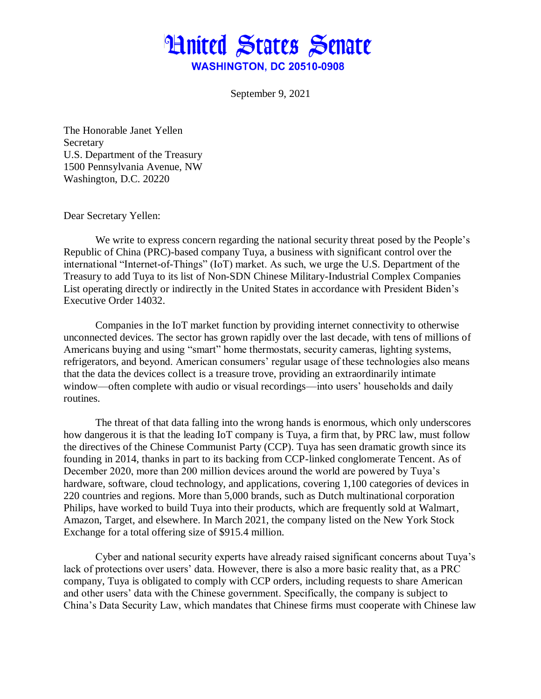

September 9, 2021

The Honorable Janet Yellen Secretary U.S. Department of the Treasury 1500 Pennsylvania Avenue, NW Washington, D.C. 20220

Dear Secretary Yellen:

We write to express concern regarding the national security threat posed by the People's Republic of China (PRC)-based company Tuya, a business with significant control over the international "Internet-of-Things" (IoT) market. As such, we urge the U.S. Department of the Treasury to add Tuya to its list of Non-SDN Chinese Military-Industrial Complex Companies List operating directly or indirectly in the United States in accordance with President Biden's Executive Order 14032.

Companies in the IoT market function by providing internet connectivity to otherwise unconnected devices. The sector has grown rapidly over the last decade, with tens of millions of Americans buying and using "smart" home thermostats, security cameras, lighting systems, refrigerators, and beyond. American consumers' regular usage of these technologies also means that the data the devices collect is a treasure trove, providing an extraordinarily intimate window—often complete with audio or visual recordings—into users' households and daily routines.

The threat of that data falling into the wrong hands is enormous, which only underscores how dangerous it is that the leading IoT company is Tuya, a firm that, by PRC law, must follow the directives of the Chinese Communist Party (CCP). Tuya has seen dramatic growth since its founding in 2014, thanks in part to its backing from CCP-linked conglomerate Tencent. As of December 2020, more than 200 million devices around the world are powered by Tuya's hardware, software, cloud technology, and applications, covering 1,100 categories of devices in 220 countries and regions. More than 5,000 brands, such as Dutch multinational corporation Philips, have worked to build Tuya into their products, which are frequently sold at Walmart, Amazon, Target, and elsewhere. In March 2021, the company listed on the New York Stock Exchange for a total offering size of \$915.4 million.

Cyber and national security experts have already raised significant concerns about Tuya's lack of protections over users' data. However, there is also a more basic reality that, as a PRC company, Tuya is obligated to comply with CCP orders, including requests to share American and other users' data with the Chinese government. Specifically, the company is subject to China's Data Security Law, which mandates that Chinese firms must cooperate with Chinese law